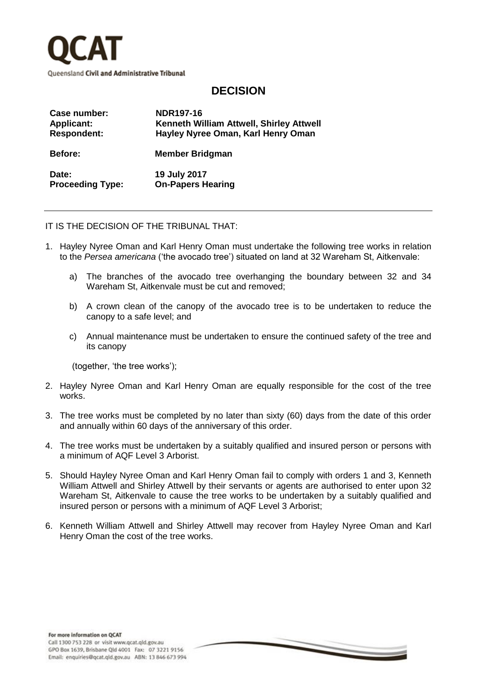

## **DECISION**

| Case number:            | NDR197-16                                |
|-------------------------|------------------------------------------|
| <b>Applicant:</b>       | Kenneth William Attwell, Shirley Attwell |
| <b>Respondent:</b>      | Hayley Nyree Oman, Karl Henry Oman       |
| <b>Before:</b>          | <b>Member Bridgman</b>                   |
| Date:                   | 19 July 2017                             |
| <b>Proceeding Type:</b> | <b>On-Papers Hearing</b>                 |

IT IS THE DECISION OF THE TRIBUNAL THAT:

- 1. Hayley Nyree Oman and Karl Henry Oman must undertake the following tree works in relation to the *Persea americana* ('the avocado tree') situated on land at 32 Wareham St, Aitkenvale:
	- a) The branches of the avocado tree overhanging the boundary between 32 and 34 Wareham St, Aitkenvale must be cut and removed;
	- b) A crown clean of the canopy of the avocado tree is to be undertaken to reduce the canopy to a safe level; and
	- c) Annual maintenance must be undertaken to ensure the continued safety of the tree and its canopy

(together, 'the tree works');

- 2. Hayley Nyree Oman and Karl Henry Oman are equally responsible for the cost of the tree works.
- 3. The tree works must be completed by no later than sixty (60) days from the date of this order and annually within 60 days of the anniversary of this order.
- 4. The tree works must be undertaken by a suitably qualified and insured person or persons with a minimum of AQF Level 3 Arborist.
- 5. Should Hayley Nyree Oman and Karl Henry Oman fail to comply with orders 1 and 3, Kenneth William Attwell and Shirley Attwell by their servants or agents are authorised to enter upon 32 Wareham St, Aitkenvale to cause the tree works to be undertaken by a suitably qualified and insured person or persons with a minimum of AQF Level 3 Arborist;
- 6. Kenneth William Attwell and Shirley Attwell may recover from Hayley Nyree Oman and Karl Henry Oman the cost of the tree works.

 $\sim$